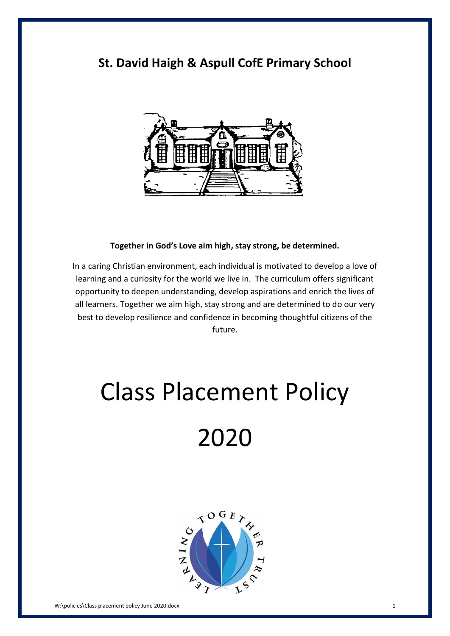# **St. David Haigh & Aspull CofE Primary School**



#### **Together in God's Love aim high, stay strong, be determined.**

In a caring Christian environment, each individual is motivated to develop a love of learning and a curiosity for the world we live in. The curriculum offers significant opportunity to deepen understanding, develop aspirations and enrich the lives of all learners. Together we aim high, stay strong and are determined to do our very best to develop resilience and confidence in becoming thoughtful citizens of the future.

# Class Placement Policy

# 2020

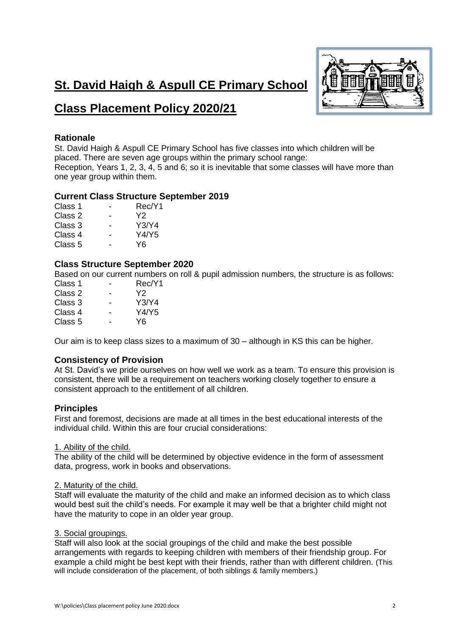# **St. David Haigh & Aspull CE Primary School**



# **Class Placement Policy 2020/21**

# **Rationale**

St. David Haigh & Aspull CE Primary School has five classes into which children will be placed. There are seven age groups within the primary school range: Reception, Years 1, 2, 3, 4, 5 and 6; so it is inevitable that some classes will have more than one year group within them.

# **Current Class Structure September 2019**

| Class 1 |   | Rec/Y1 |
|---------|---|--------|
| Class 2 |   | Y2     |
| Class 3 |   | Y3/Y4  |
| Class 4 | - | Y4/Y5  |
| Class 5 |   | Y6     |

## **Class Structure September 2020**

Based on our current numbers on roll & pupil admission numbers, the structure is as follows:

| Class 1 | Rec/Y1 |
|---------|--------|
| Class 2 | Y2     |
| Class 3 | Y3/Y4  |
| Class 4 | Y4/Y5  |
| Class 5 | Y6     |
|         |        |

Our aim is to keep class sizes to a maximum of 30 – although in KS this can be higher.

# **Consistency of Provision**

At St. David's we pride ourselves on how well we work as a team. To ensure this provision is consistent, there will be a requirement on teachers working closely together to ensure a consistent approach to the entitlement of all children.

### **Principles**

First and foremost, decisions are made at all times in the best educational interests of the individual child. Within this are four crucial considerations:

### 1. Ability of the child.

The ability of the child will be determined by objective evidence in the form of assessment data, progress, work in books and observations.

#### 2. Maturity of the child.

Staff will evaluate the maturity of the child and make an informed decision as to which class would best suit the child's needs. For example it may well be that a brighter child might not have the maturity to cope in an older year group.

### 3. Social groupings.

Staff will also look at the social groupings of the child and make the best possible arrangements with regards to keeping children with members of their friendship group. For example a child might be best kept with their friends, rather than with different children. (This will include consideration of the placement, of both siblings & family members.)